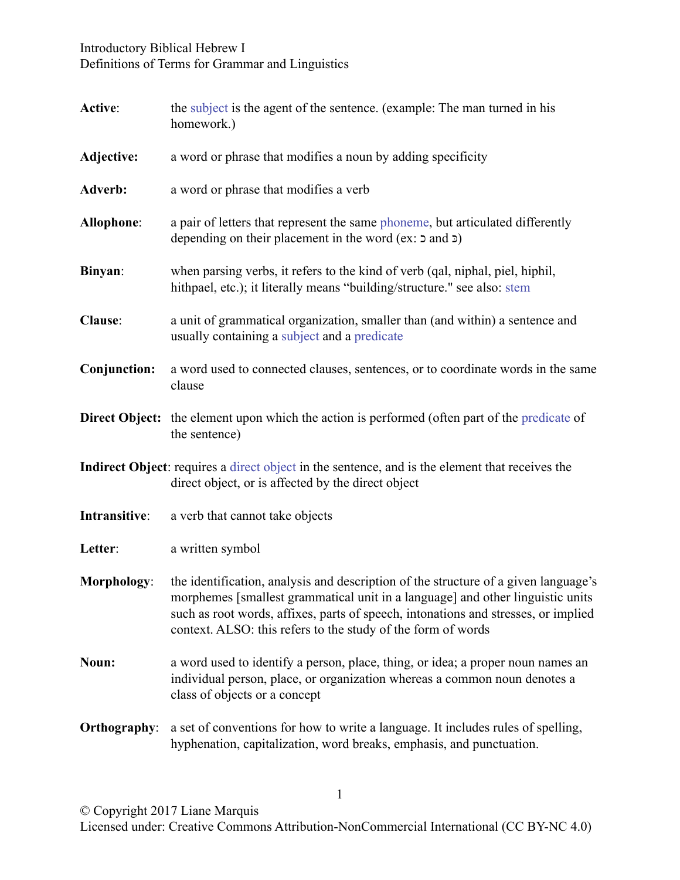## Introductory Biblical Hebrew I Definitions of Terms for Grammar and Linguistics

<span id="page-0-1"></span><span id="page-0-0"></span>

| Active:             | the subject is the agent of the sentence. (example: The man turned in his<br>homework.)                                                                                                                                                                                                                                     |
|---------------------|-----------------------------------------------------------------------------------------------------------------------------------------------------------------------------------------------------------------------------------------------------------------------------------------------------------------------------|
| Adjective:          | a word or phrase that modifies a noun by adding specificity                                                                                                                                                                                                                                                                 |
| Adverb:             | a word or phrase that modifies a verb                                                                                                                                                                                                                                                                                       |
| Allophone:          | a pair of letters that represent the same phoneme, but articulated differently<br>depending on their placement in the word (ex: $\sigma$ and $\sigma$ )                                                                                                                                                                     |
| Binyan:             | when parsing verbs, it refers to the kind of verb (qal, niphal, piel, hiphil,<br>hithpael, etc.); it literally means "building/structure." see also: stem                                                                                                                                                                   |
| Clause:             | a unit of grammatical organization, smaller than (and within) a sentence and<br>usually containing a subject and a predicate                                                                                                                                                                                                |
| Conjunction:        | a word used to connected clauses, sentences, or to coordinate words in the same<br>clause                                                                                                                                                                                                                                   |
|                     | <b>Direct Object:</b> the element upon which the action is performed (often part of the predicate of<br>the sentence)                                                                                                                                                                                                       |
|                     | Indirect Object: requires a direct object in the sentence, and is the element that receives the<br>direct object, or is affected by the direct object                                                                                                                                                                       |
| Intransitive:       | a verb that cannot take objects                                                                                                                                                                                                                                                                                             |
| Letter:             | a written symbol                                                                                                                                                                                                                                                                                                            |
| Morphology:         | the identification, analysis and description of the structure of a given language's<br>morphemes [smallest grammatical unit in a language] and other linguistic units<br>such as root words, affixes, parts of speech, intonations and stresses, or implied<br>context. ALSO: this refers to the study of the form of words |
| Noun:               | a word used to identify a person, place, thing, or idea; a proper noun names an<br>individual person, place, or organization whereas a common noun denotes a<br>class of objects or a concept                                                                                                                               |
| <b>Orthography:</b> | a set of conventions for how to write a language. It includes rules of spelling,<br>hyphenation, capitalization, word breaks, emphasis, and punctuation.                                                                                                                                                                    |

1